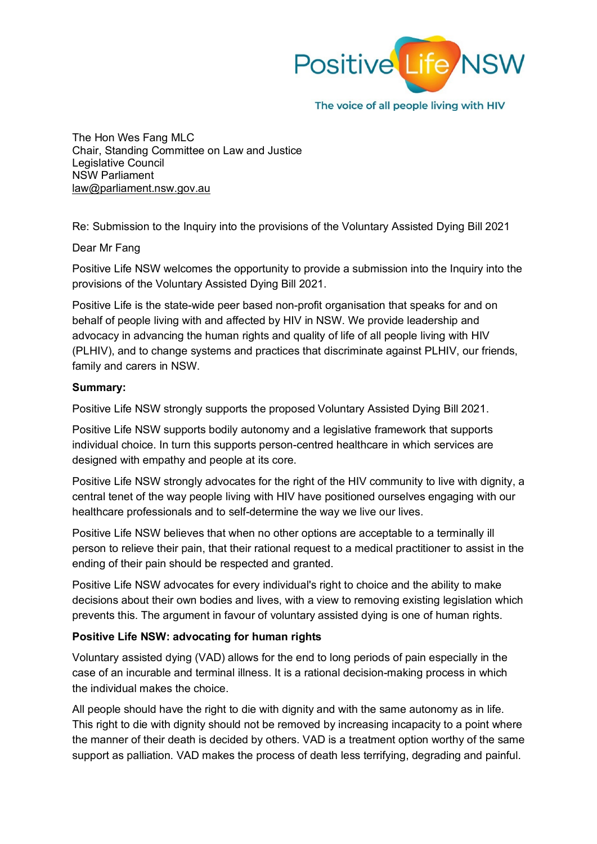

The voice of all people living with HIV

The Hon Wes Fang MLC Chair, Standing Committee on Law and Justice Legislative Council NSW Parliament [law@parliament.nsw.gov.au](mailto:%20law@parliament.nsw.gov.au)

Re: Submission to the Inquiry into the provisions of the Voluntary Assisted Dying Bill 2021

Dear Mr Fang

Positive Life NSW welcomes the opportunity to provide a submission into the Inquiry into the provisions of the Voluntary Assisted Dying Bill 2021.

Positive Life is the state-wide peer based non-profit organisation that speaks for and on behalf of people living with and affected by HIV in NSW. We provide leadership and advocacy in advancing the human rights and quality of life of all people living with HIV (PLHIV), and to change systems and practices that discriminate against PLHIV, our friends, family and carers in NSW.

### **Summary:**

Positive Life NSW strongly supports the proposed Voluntary Assisted Dying Bill 2021.

Positive Life NSW supports bodily autonomy and a legislative framework that supports individual choice. In turn this supports person-centred healthcare in which services are designed with empathy and people at its core.

Positive Life NSW strongly advocates for the right of the HIV community to live with dignity, a central tenet of the way people living with HIV have positioned ourselves engaging with our healthcare professionals and to self-determine the way we live our lives.

Positive Life NSW believes that when no other options are acceptable to a terminally ill person to relieve their pain, that their rational request to a medical practitioner to assist in the ending of their pain should be respected and granted.

Positive Life NSW advocates for every individual's right to choice and the ability to make decisions about their own bodies and lives, with a view to removing existing legislation which prevents this. The argument in favour of voluntary assisted dying is one of human rights.

## **Positive Life NSW: advocating for human rights**

Voluntary assisted dying (VAD) allows for the end to long periods of pain especially in the case of an incurable and terminal illness. It is a rational decision-making process in which the individual makes the choice.

All people should have the right to die with dignity and with the same autonomy as in life. This right to die with dignity should not be removed by increasing incapacity to a point where the manner of their death is decided by others. VAD is a treatment option worthy of the same support as palliation. VAD makes the process of death less terrifying, degrading and painful.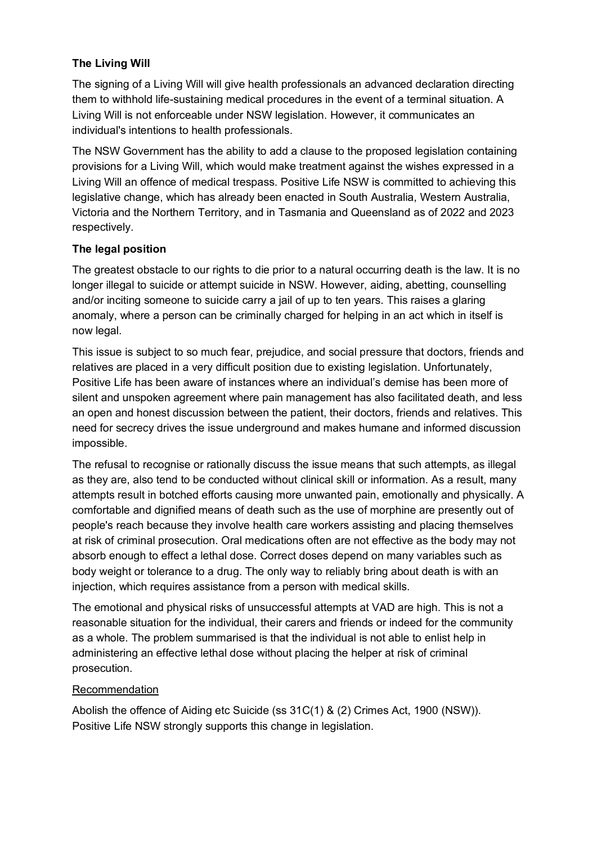# **The Living Will**

The signing of a Living Will will give health professionals an advanced declaration directing them to withhold life-sustaining medical procedures in the event of a terminal situation. A Living Will is not enforceable under NSW legislation. However, it communicates an individual's intentions to health professionals.

The NSW Government has the ability to add a clause to the proposed legislation containing provisions for a Living Will, which would make treatment against the wishes expressed in a Living Will an offence of medical trespass. Positive Life NSW is committed to achieving this legislative change, which has already been enacted in South Australia, Western Australia, Victoria and the Northern Territory, and in Tasmania and Queensland as of 2022 and 2023 respectively.

# **The legal position**

The greatest obstacle to our rights to die prior to a natural occurring death is the law. It is no longer illegal to suicide or attempt suicide in NSW. However, aiding, abetting, counselling and/or inciting someone to suicide carry a jail of up to ten years. This raises a glaring anomaly, where a person can be criminally charged for helping in an act which in itself is now legal.

This issue is subject to so much fear, prejudice, and social pressure that doctors, friends and relatives are placed in a very difficult position due to existing legislation. Unfortunately, Positive Life has been aware of instances where an individual's demise has been more of silent and unspoken agreement where pain management has also facilitated death, and less an open and honest discussion between the patient, their doctors, friends and relatives. This need for secrecy drives the issue underground and makes humane and informed discussion impossible.

The refusal to recognise or rationally discuss the issue means that such attempts, as illegal as they are, also tend to be conducted without clinical skill or information. As a result, many attempts result in botched efforts causing more unwanted pain, emotionally and physically. A comfortable and dignified means of death such as the use of morphine are presently out of people's reach because they involve health care workers assisting and placing themselves at risk of criminal prosecution. Oral medications often are not effective as the body may not absorb enough to effect a lethal dose. Correct doses depend on many variables such as body weight or tolerance to a drug. The only way to reliably bring about death is with an injection, which requires assistance from a person with medical skills.

The emotional and physical risks of unsuccessful attempts at VAD are high. This is not a reasonable situation for the individual, their carers and friends or indeed for the community as a whole. The problem summarised is that the individual is not able to enlist help in administering an effective lethal dose without placing the helper at risk of criminal prosecution.

## Recommendation

Abolish the offence of Aiding etc Suicide (ss 31C(1) & (2) Crimes Act, 1900 (NSW)). Positive Life NSW strongly supports this change in legislation.